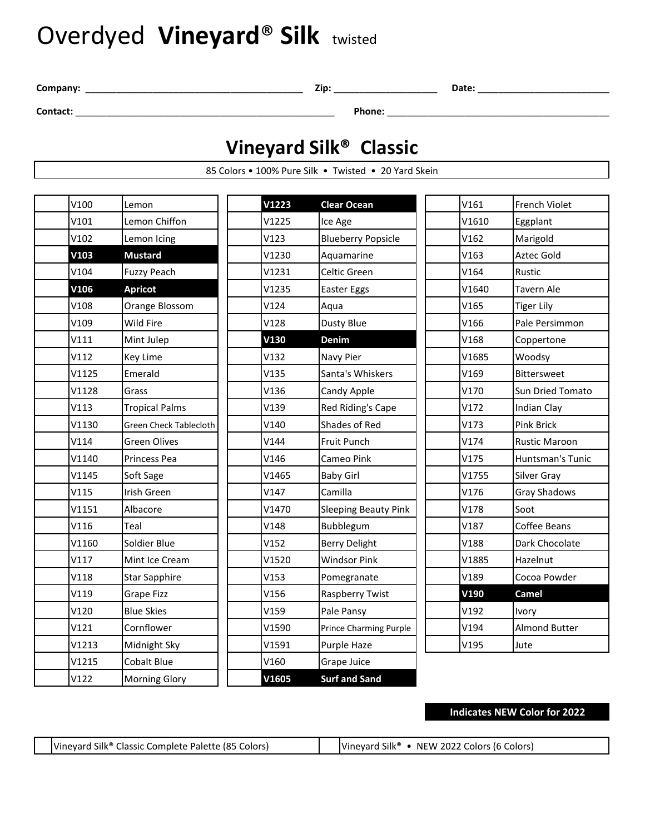# Overdyed **Vineyard**® **Silk** twisted

**Company:** \_\_\_\_\_\_\_\_\_\_\_\_\_\_\_\_\_\_\_\_\_\_\_\_\_\_\_\_\_\_\_\_\_\_\_\_\_\_\_\_\_\_ **Zip:** \_\_\_\_\_\_\_\_\_\_\_\_\_\_\_\_\_\_\_\_ **Date:** \_\_\_\_\_\_\_\_\_\_\_\_\_\_\_\_\_\_\_\_\_\_\_\_\_\_\_

**Contact:** \_\_\_\_\_\_\_\_\_\_\_\_\_\_\_\_\_\_\_\_\_\_\_\_\_\_\_\_\_\_\_\_\_\_\_\_\_\_\_\_\_\_\_\_\_\_\_\_\_\_ **Phone:** \_\_\_\_\_\_\_\_\_\_\_\_\_\_\_\_\_\_\_\_\_\_\_\_\_\_\_\_\_\_\_\_\_\_\_\_\_\_\_\_\_\_\_\_\_

### **Vineyard Silk® Classic**

85 Colors • 100% Pure Silk • Twisted • 20 Yard Skein

| V100  | Lemon                         | V1223 | <b>Clear Ocean</b>          | V161  | French Violet           |
|-------|-------------------------------|-------|-----------------------------|-------|-------------------------|
| V101  | Lemon Chiffon                 | V1225 | Ice Age                     | V1610 | Eggplant                |
| V102  | Lemon Icing                   | V123  | <b>Blueberry Popsicle</b>   | V162  | Marigold                |
| V103  | <b>Mustard</b>                | V1230 | Aquamarine                  | V163  | Aztec Gold              |
| V104  | <b>Fuzzy Peach</b>            | V1231 | Celtic Green                | V164  | Rustic                  |
| V106  | <b>Apricot</b>                | V1235 | Easter Eggs                 | V1640 | <b>Tavern Ale</b>       |
| V108  | Orange Blossom                | V124  | Aqua                        | V165  | <b>Tiger Lily</b>       |
| V109  | Wild Fire                     | V128  | Dusty Blue                  | V166  | Pale Persimmon          |
| V111  | Mint Julep                    | V130  | Denim                       | V168  | Coppertone              |
| V112  | <b>Key Lime</b>               | V132  | Navy Pier                   | V1685 | Woodsy                  |
| V1125 | Emerald                       | V135  | Santa's Whiskers            | V169  | <b>Bittersweet</b>      |
| V1128 | Grass                         | V136  | Candy Apple                 | V170  | Sun Dried Tomato        |
| V113  | <b>Tropical Palms</b>         | V139  | Red Riding's Cape           | V172  | Indian Clay             |
| V1130 | <b>Green Check Tablecloth</b> | V140  | Shades of Red               | V173  | <b>Pink Brick</b>       |
| V114  | <b>Green Olives</b>           | V144  | Fruit Punch                 | V174  | <b>Rustic Maroon</b>    |
| V1140 | <b>Princess Pea</b>           | V146  | Cameo Pink                  | V175  | <b>Huntsman's Tunic</b> |
| V1145 | Soft Sage                     | V1465 | <b>Baby Girl</b>            | V1755 | Silver Gray             |
| V115  | Irish Green                   | V147  | Camilla                     | V176  | <b>Gray Shadows</b>     |
| V1151 | Albacore                      | V1470 | <b>Sleeping Beauty Pink</b> | V178  | Soot                    |
| V116  | Teal                          | V148  | Bubblegum                   | V187  | Coffee Beans            |
| V1160 | Soldier Blue                  | V152  | <b>Berry Delight</b>        | V188  | Dark Chocolate          |
| V117  | Mint Ice Cream                | V1520 | <b>Windsor Pink</b>         | V1885 | Hazelnut                |
| V118  | <b>Star Sapphire</b>          | V153  | Pomegranate                 | V189  | Cocoa Powder            |
| V119  | <b>Grape Fizz</b>             | V156  | Raspberry Twist             | V190  | <b>Camel</b>            |
| V120  | <b>Blue Skies</b>             | V159  | Pale Pansy                  | V192  | Ivory                   |
| V121  | Cornflower                    | V1590 | Prince Charming Purple      | V194  | <b>Almond Butter</b>    |
| V1213 | Midnight Sky                  | V1591 | Purple Haze                 | V195  | Jute                    |
| V1215 | Cobalt Blue                   | V160  | Grape Juice                 |       |                         |
| V122  | <b>Morning Glory</b>          | V1605 | <b>Surf and Sand</b>        |       |                         |

#### **Indicates NEW Color for 2022**